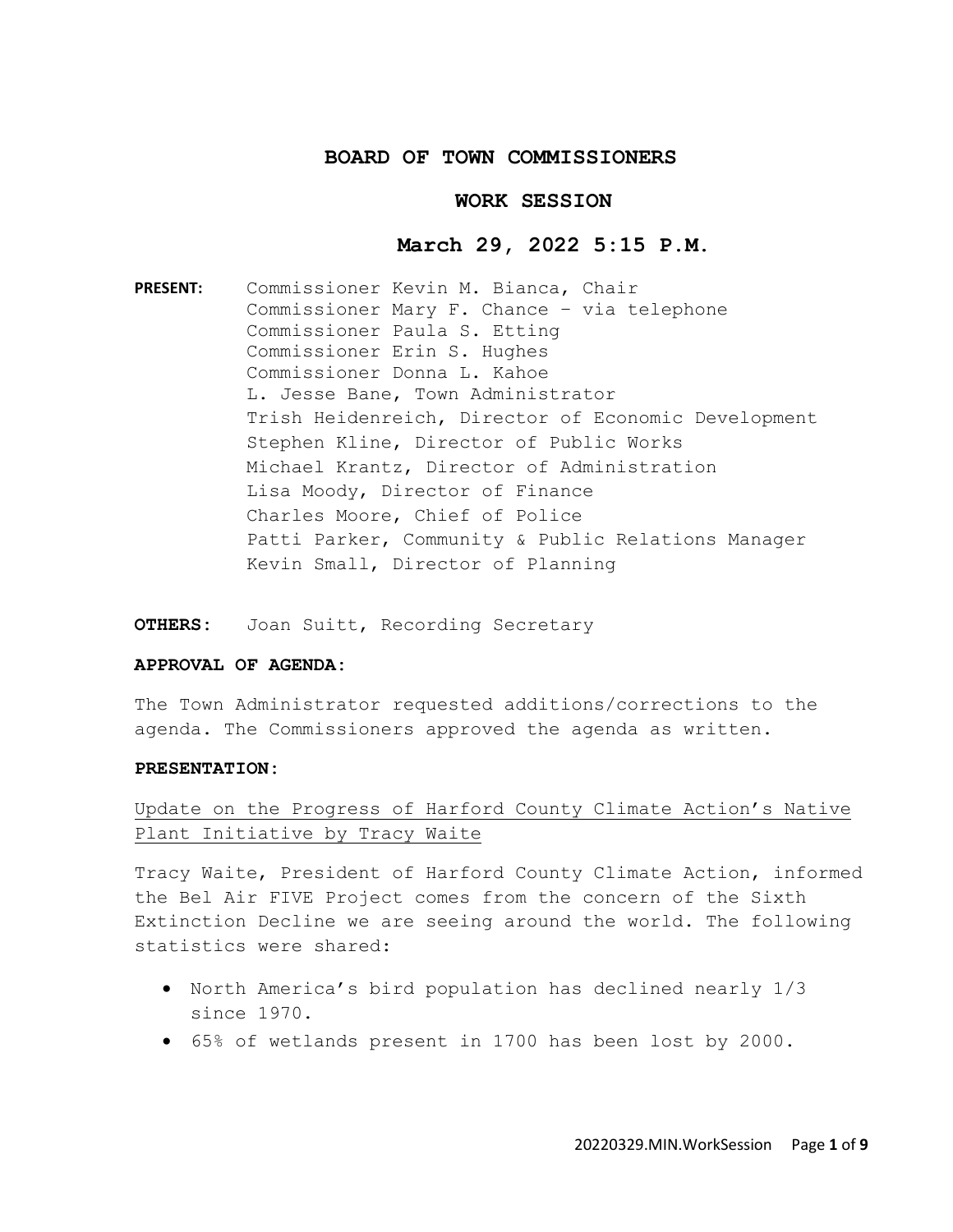## **BOARD OF TOWN COMMISSIONERS**

## **WORK SESSION**

# **March 29, 2022 5:15 P.M.**

**PRESENT:** Commissioner Kevin M. Bianca, Chair Commissioner Mary F. Chance – via telephone Commissioner Paula S. Etting Commissioner Erin S. Hughes Commissioner Donna L. Kahoe L. Jesse Bane, Town Administrator Trish Heidenreich, Director of Economic Development Stephen Kline, Director of Public Works Michael Krantz, Director of Administration Lisa Moody, Director of Finance Charles Moore, Chief of Police Patti Parker, Community & Public Relations Manager Kevin Small, Director of Planning

**OTHERS:** Joan Suitt, Recording Secretary

#### **APPROVAL OF AGENDA:**

The Town Administrator requested additions/corrections to the agenda. The Commissioners approved the agenda as written.

## **PRESENTATION:**

# Update on the Progress of Harford County Climate Action's Native Plant Initiative by Tracy Waite

Tracy Waite, President of Harford County Climate Action, informed the Bel Air FIVE Project comes from the concern of the Sixth Extinction Decline we are seeing around the world. The following statistics were shared:

- North America's bird population has declined nearly 1/3 since 1970.
- 65% of wetlands present in 1700 has been lost by 2000.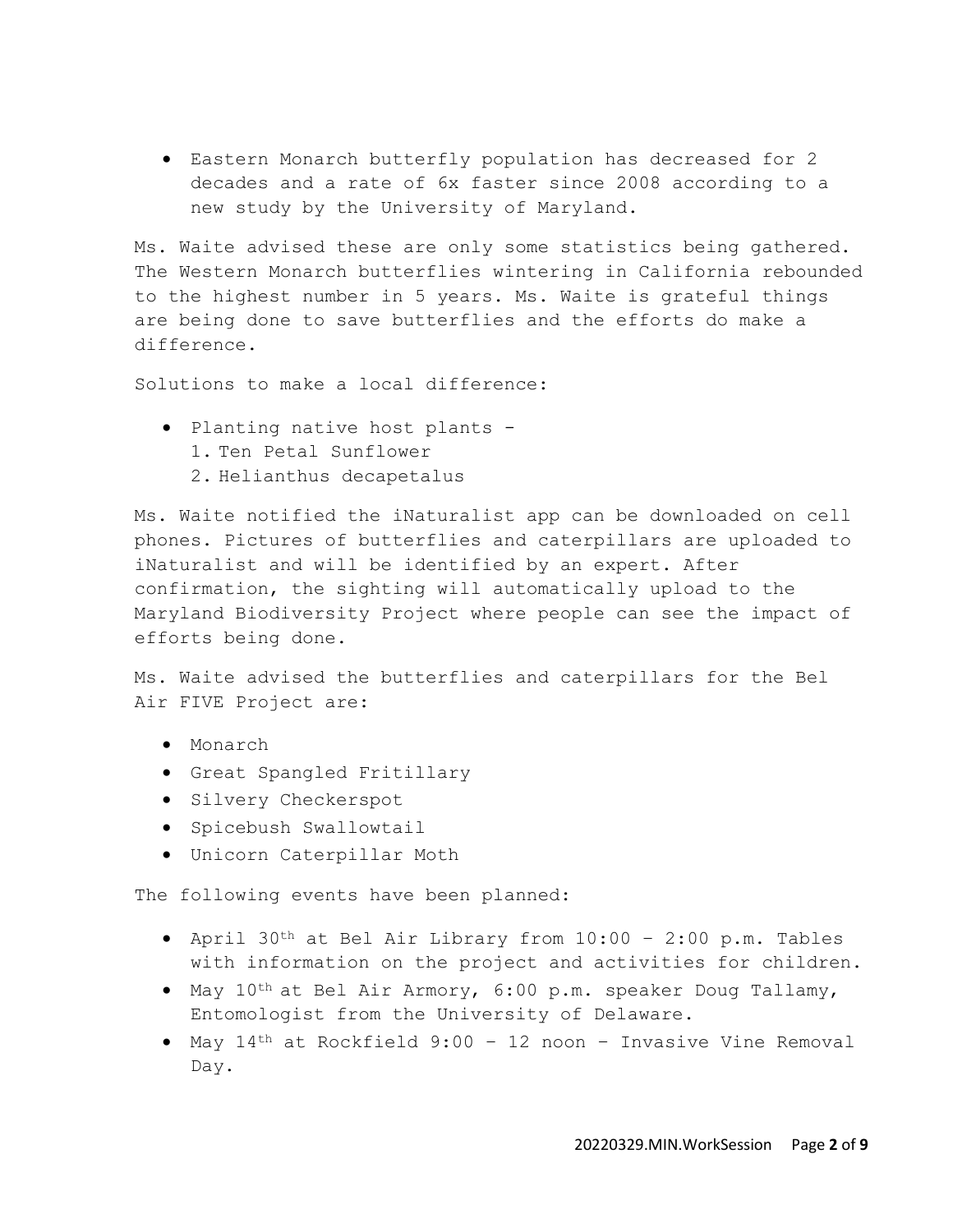• Eastern Monarch butterfly population has decreased for 2 decades and a rate of 6x faster since 2008 according to a new study by the University of Maryland.

Ms. Waite advised these are only some statistics being gathered. The Western Monarch butterflies wintering in California rebounded to the highest number in 5 years. Ms. Waite is grateful things are being done to save butterflies and the efforts do make a difference.

Solutions to make a local difference:

- Planting native host plants
	- 1. Ten Petal Sunflower
	- 2. Helianthus decapetalus

Ms. Waite notified the iNaturalist app can be downloaded on cell phones. Pictures of butterflies and caterpillars are uploaded to iNaturalist and will be identified by an expert. After confirmation, the sighting will automatically upload to the Maryland Biodiversity Project where people can see the impact of efforts being done.

Ms. Waite advised the butterflies and caterpillars for the Bel Air FIVE Project are:

- Monarch
- Great Spangled Fritillary
- Silvery Checkerspot
- Spicebush Swallowtail
- Unicorn Caterpillar Moth

The following events have been planned:

- April 30th at Bel Air Library from 10:00 2:00 p.m. Tables with information on the project and activities for children.
- May 10th at Bel Air Armory, 6:00 p.m. speaker Doug Tallamy, Entomologist from the University of Delaware.
- May 14th at Rockfield 9:00 12 noon Invasive Vine Removal Day.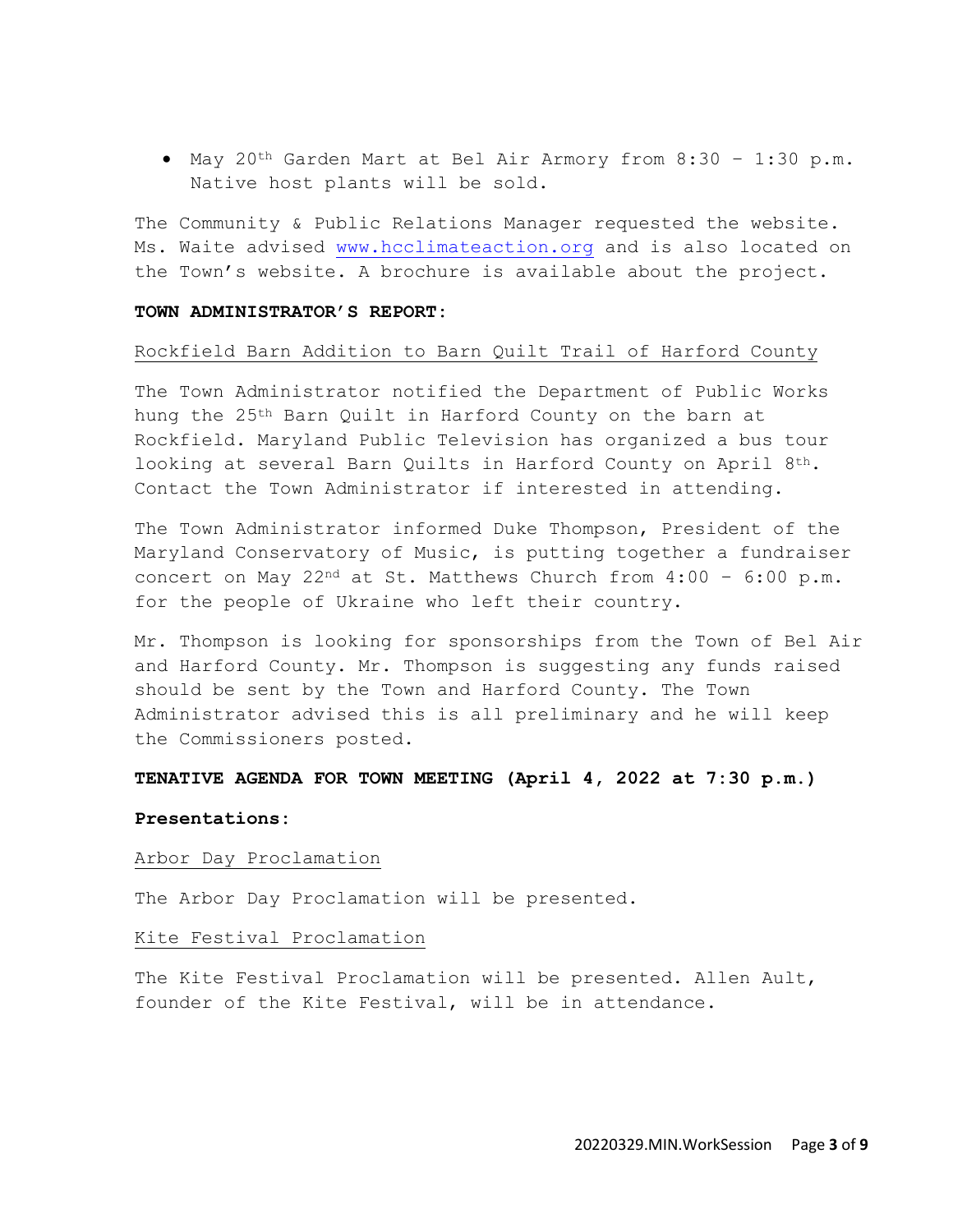• May 20th Garden Mart at Bel Air Armory from 8:30 – 1:30 p.m. Native host plants will be sold.

The Community & Public Relations Manager requested the website. Ms. Waite advised [www.hcclimateaction.org](http://www.hcclimateaction.org/) and is also located on the Town's website. A brochure is available about the project.

#### **TOWN ADMINISTRATOR'S REPORT:**

## Rockfield Barn Addition to Barn Quilt Trail of Harford County

The Town Administrator notified the Department of Public Works hung the 25th Barn Quilt in Harford County on the barn at Rockfield. Maryland Public Television has organized a bus tour looking at several Barn Quilts in Harford County on April  $8<sup>th</sup>$ . Contact the Town Administrator if interested in attending.

The Town Administrator informed Duke Thompson, President of the Maryland Conservatory of Music, is putting together a fundraiser concert on May 22<sup>nd</sup> at St. Matthews Church from  $4:00 - 6:00 \text{ p.m.}$ for the people of Ukraine who left their country.

Mr. Thompson is looking for sponsorships from the Town of Bel Air and Harford County. Mr. Thompson is suggesting any funds raised should be sent by the Town and Harford County. The Town Administrator advised this is all preliminary and he will keep the Commissioners posted.

# **TENATIVE AGENDA FOR TOWN MEETING (April 4, 2022 at 7:30 p.m.)**

#### **Presentations:**

#### Arbor Day Proclamation

The Arbor Day Proclamation will be presented.

#### Kite Festival Proclamation

The Kite Festival Proclamation will be presented. Allen Ault, founder of the Kite Festival, will be in attendance.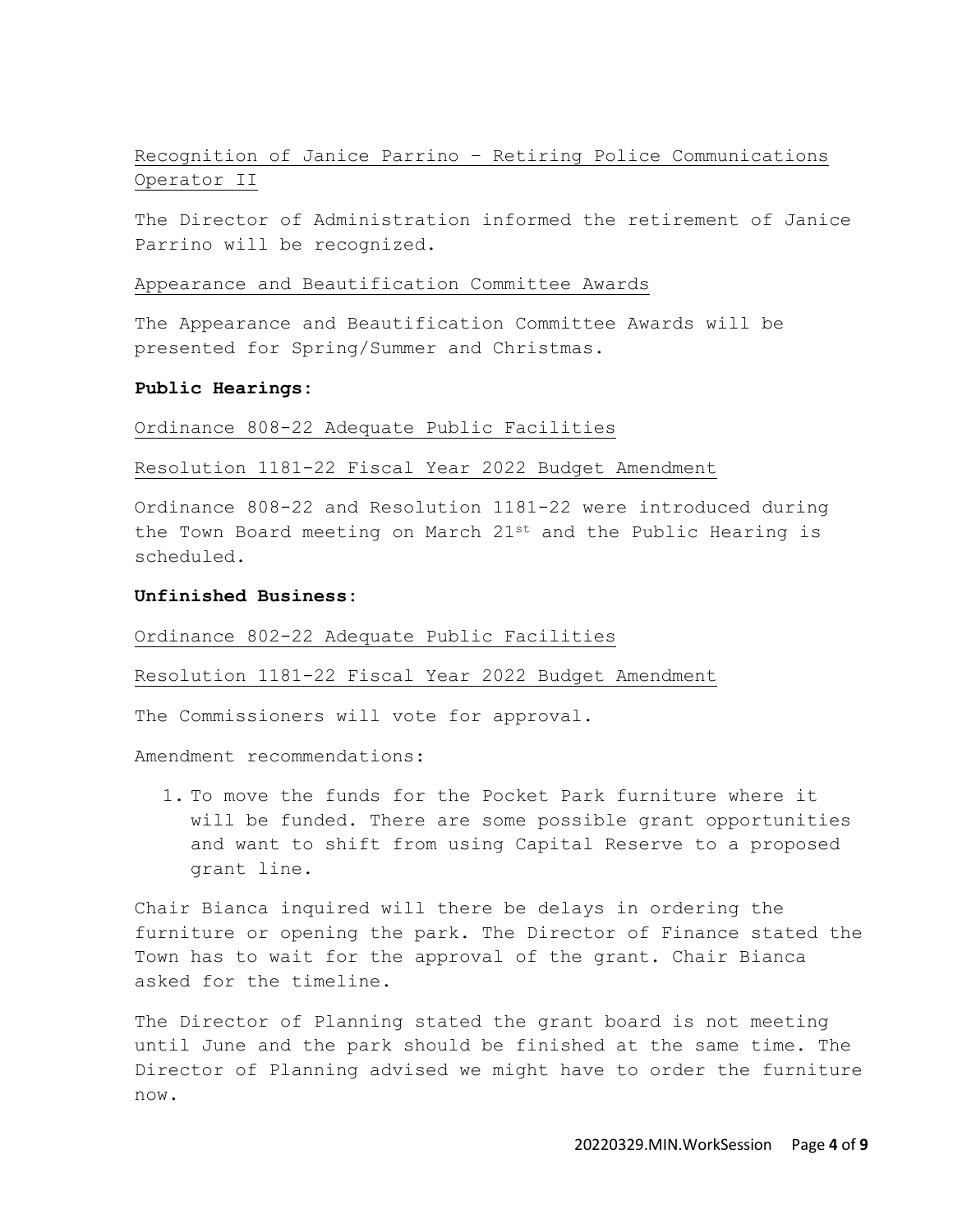# Recognition of Janice Parrino – Retiring Police Communications Operator II

The Director of Administration informed the retirement of Janice Parrino will be recognized.

### Appearance and Beautification Committee Awards

The Appearance and Beautification Committee Awards will be presented for Spring/Summer and Christmas.

## **Public Hearings:**

Ordinance 808-22 Adequate Public Facilities

## Resolution 1181-22 Fiscal Year 2022 Budget Amendment

Ordinance 808-22 and Resolution 1181-22 were introduced during the Town Board meeting on March  $21^{st}$  and the Public Hearing is scheduled.

## **Unfinished Business:**

#### Ordinance 802-22 Adequate Public Facilities

Resolution 1181-22 Fiscal Year 2022 Budget Amendment

The Commissioners will vote for approval.

Amendment recommendations:

1. To move the funds for the Pocket Park furniture where it will be funded. There are some possible grant opportunities and want to shift from using Capital Reserve to a proposed grant line.

Chair Bianca inquired will there be delays in ordering the furniture or opening the park. The Director of Finance stated the Town has to wait for the approval of the grant. Chair Bianca asked for the timeline.

The Director of Planning stated the grant board is not meeting until June and the park should be finished at the same time. The Director of Planning advised we might have to order the furniture now.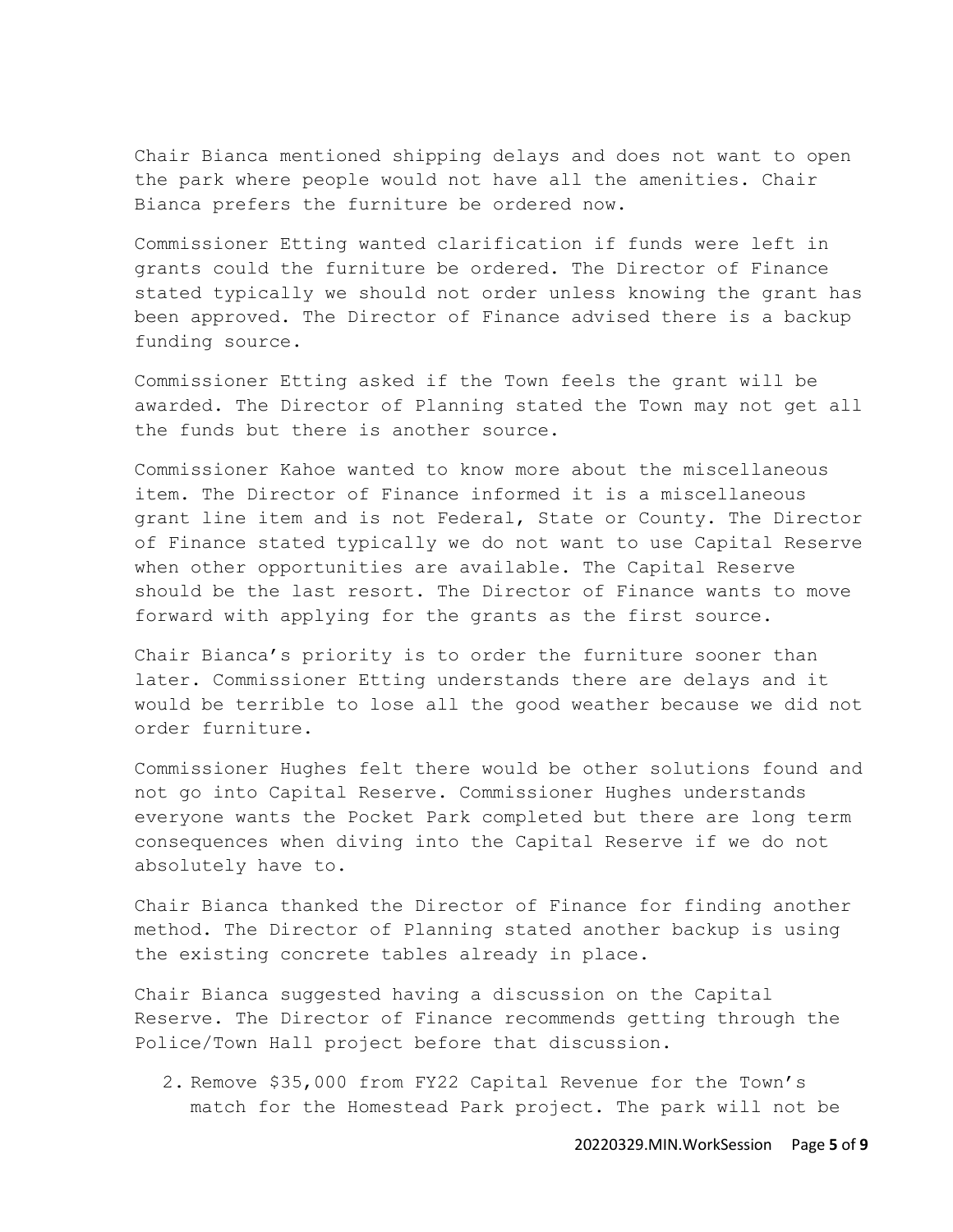Chair Bianca mentioned shipping delays and does not want to open the park where people would not have all the amenities. Chair Bianca prefers the furniture be ordered now.

Commissioner Etting wanted clarification if funds were left in grants could the furniture be ordered. The Director of Finance stated typically we should not order unless knowing the grant has been approved. The Director of Finance advised there is a backup funding source.

Commissioner Etting asked if the Town feels the grant will be awarded. The Director of Planning stated the Town may not get all the funds but there is another source.

Commissioner Kahoe wanted to know more about the miscellaneous item. The Director of Finance informed it is a miscellaneous grant line item and is not Federal, State or County. The Director of Finance stated typically we do not want to use Capital Reserve when other opportunities are available. The Capital Reserve should be the last resort. The Director of Finance wants to move forward with applying for the grants as the first source.

Chair Bianca's priority is to order the furniture sooner than later. Commissioner Etting understands there are delays and it would be terrible to lose all the good weather because we did not order furniture.

Commissioner Hughes felt there would be other solutions found and not go into Capital Reserve. Commissioner Hughes understands everyone wants the Pocket Park completed but there are long term consequences when diving into the Capital Reserve if we do not absolutely have to.

Chair Bianca thanked the Director of Finance for finding another method. The Director of Planning stated another backup is using the existing concrete tables already in place.

Chair Bianca suggested having a discussion on the Capital Reserve. The Director of Finance recommends getting through the Police/Town Hall project before that discussion.

2. Remove \$35,000 from FY22 Capital Revenue for the Town's match for the Homestead Park project. The park will not be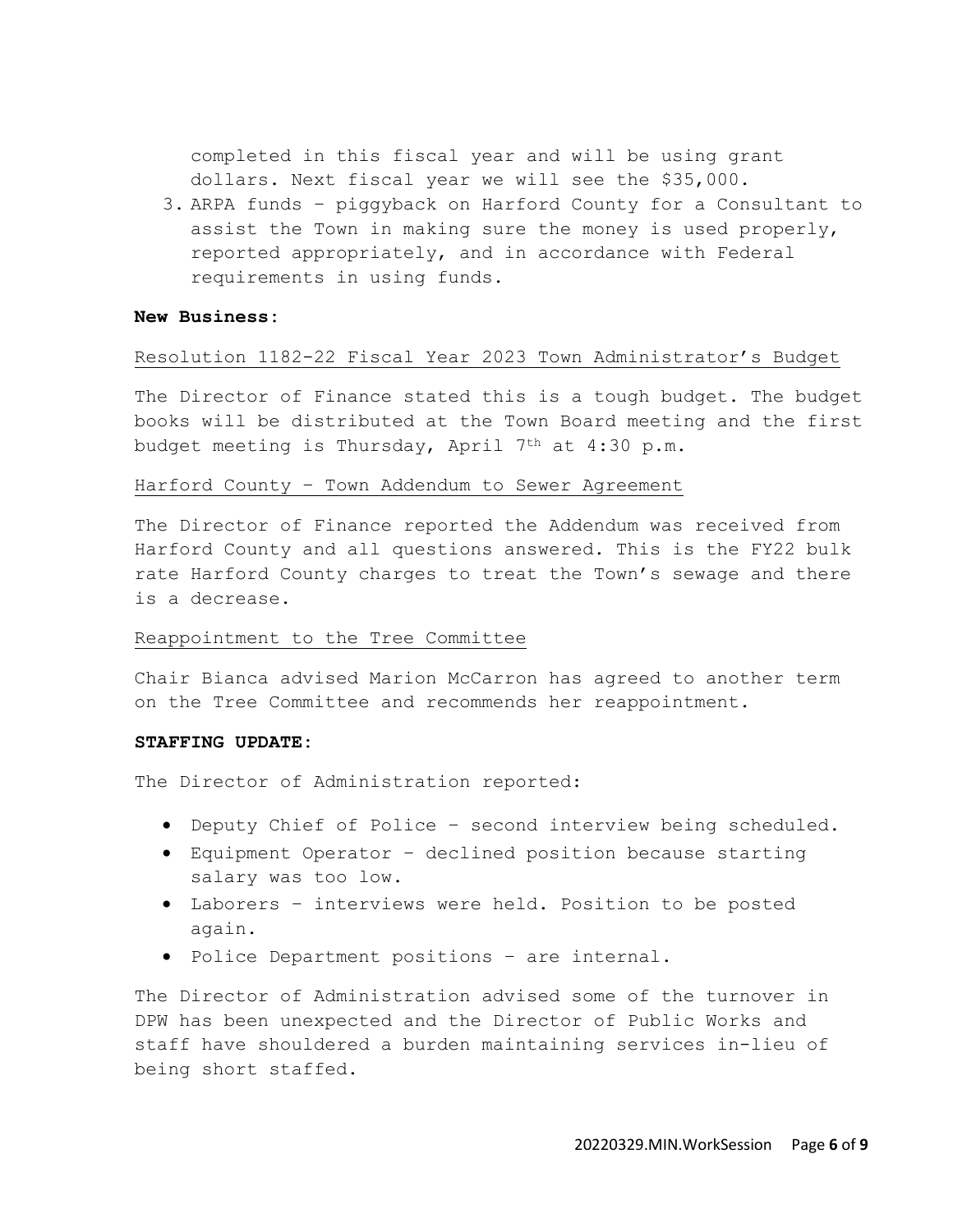completed in this fiscal year and will be using grant dollars. Next fiscal year we will see the \$35,000.

3. ARPA funds – piggyback on Harford County for a Consultant to assist the Town in making sure the money is used properly, reported appropriately, and in accordance with Federal requirements in using funds.

## **New Business:**

## Resolution 1182-22 Fiscal Year 2023 Town Administrator's Budget

The Director of Finance stated this is a tough budget. The budget books will be distributed at the Town Board meeting and the first budget meeting is Thursday, April  $7<sup>th</sup>$  at 4:30 p.m.

## Harford County – Town Addendum to Sewer Agreement

The Director of Finance reported the Addendum was received from Harford County and all questions answered. This is the FY22 bulk rate Harford County charges to treat the Town's sewage and there is a decrease.

## Reappointment to the Tree Committee

Chair Bianca advised Marion McCarron has agreed to another term on the Tree Committee and recommends her reappointment.

#### **STAFFING UPDATE:**

The Director of Administration reported:

- Deputy Chief of Police second interview being scheduled.
- Equipment Operator declined position because starting salary was too low.
- Laborers interviews were held. Position to be posted again.
- Police Department positions are internal.

The Director of Administration advised some of the turnover in DPW has been unexpected and the Director of Public Works and staff have shouldered a burden maintaining services in-lieu of being short staffed.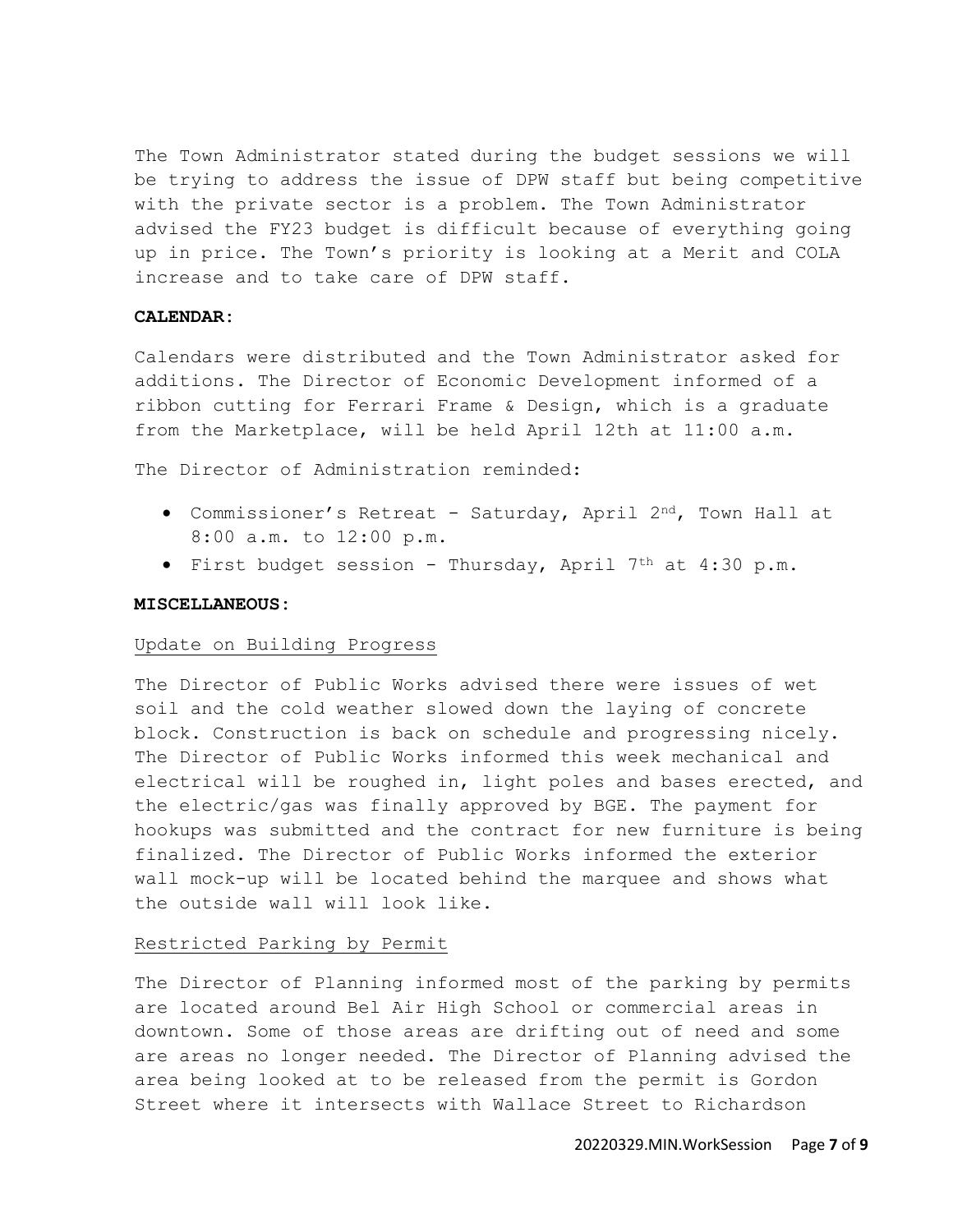The Town Administrator stated during the budget sessions we will be trying to address the issue of DPW staff but being competitive with the private sector is a problem. The Town Administrator advised the FY23 budget is difficult because of everything going up in price. The Town's priority is looking at a Merit and COLA increase and to take care of DPW staff.

# **CALENDAR:**

Calendars were distributed and the Town Administrator asked for additions. The Director of Economic Development informed of a ribbon cutting for Ferrari Frame & Design, which is a graduate from the Marketplace, will be held April 12th at 11:00 a.m.

The Director of Administration reminded:

- Commissioner's Retreat Saturday, April 2nd, Town Hall at 8:00 a.m. to 12:00 p.m.
- First budget session Thursday, April  $7<sup>th</sup>$  at  $4:30$  p.m.

#### **MISCELLANEOUS:**

#### Update on Building Progress

The Director of Public Works advised there were issues of wet soil and the cold weather slowed down the laying of concrete block. Construction is back on schedule and progressing nicely. The Director of Public Works informed this week mechanical and electrical will be roughed in, light poles and bases erected, and the electric/gas was finally approved by BGE. The payment for hookups was submitted and the contract for new furniture is being finalized. The Director of Public Works informed the exterior wall mock-up will be located behind the marquee and shows what the outside wall will look like.

## Restricted Parking by Permit

The Director of Planning informed most of the parking by permits are located around Bel Air High School or commercial areas in downtown. Some of those areas are drifting out of need and some are areas no longer needed. The Director of Planning advised the area being looked at to be released from the permit is Gordon Street where it intersects with Wallace Street to Richardson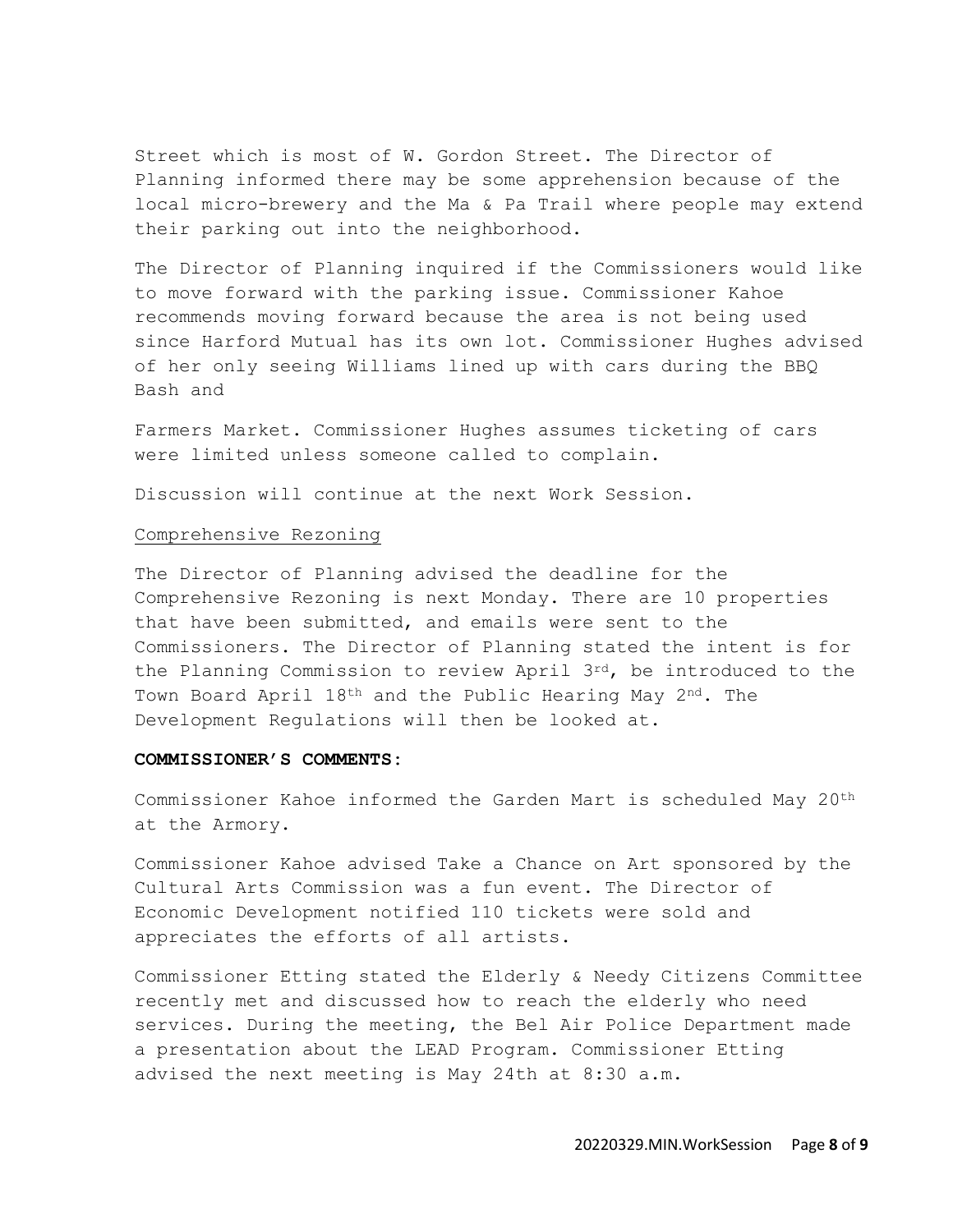Street which is most of W. Gordon Street. The Director of Planning informed there may be some apprehension because of the local micro-brewery and the Ma & Pa Trail where people may extend their parking out into the neighborhood.

The Director of Planning inquired if the Commissioners would like to move forward with the parking issue. Commissioner Kahoe recommends moving forward because the area is not being used since Harford Mutual has its own lot. Commissioner Hughes advised of her only seeing Williams lined up with cars during the BBQ Bash and

Farmers Market. Commissioner Hughes assumes ticketing of cars were limited unless someone called to complain.

Discussion will continue at the next Work Session.

## Comprehensive Rezoning

The Director of Planning advised the deadline for the Comprehensive Rezoning is next Monday. There are 10 properties that have been submitted, and emails were sent to the Commissioners. The Director of Planning stated the intent is for the Planning Commission to review April 3rd, be introduced to the Town Board April 18<sup>th</sup> and the Public Hearing May 2<sup>nd</sup>. The Development Regulations will then be looked at.

#### **COMMISSIONER'S COMMENTS:**

Commissioner Kahoe informed the Garden Mart is scheduled May 20th at the Armory.

Commissioner Kahoe advised Take a Chance on Art sponsored by the Cultural Arts Commission was a fun event. The Director of Economic Development notified 110 tickets were sold and appreciates the efforts of all artists.

Commissioner Etting stated the Elderly & Needy Citizens Committee recently met and discussed how to reach the elderly who need services. During the meeting, the Bel Air Police Department made a presentation about the LEAD Program. Commissioner Etting advised the next meeting is May 24th at 8:30 a.m.